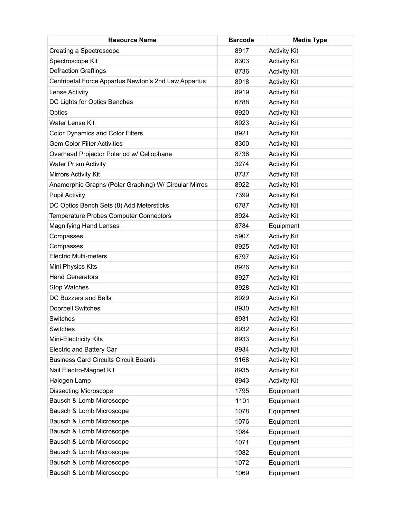| <b>Resource Name</b>                                  | <b>Barcode</b> | <b>Media Type</b>   |
|-------------------------------------------------------|----------------|---------------------|
| Creating a Spectroscope                               | 8917           | <b>Activity Kit</b> |
| Spectroscope Kit                                      | 8303           | <b>Activity Kit</b> |
| <b>Defraction Graftings</b>                           | 8736           | <b>Activity Kit</b> |
| Centripetal Force Appartus Newton's 2nd Law Appartus  | 8918           | <b>Activity Kit</b> |
| Lense Activity                                        | 8919           | <b>Activity Kit</b> |
| DC Lights for Optics Benches                          | 6788           | <b>Activity Kit</b> |
| Optics                                                | 8920           | <b>Activity Kit</b> |
| Water Lense Kit                                       | 8923           | <b>Activity Kit</b> |
| <b>Color Dynamics and Color Filters</b>               | 8921           | <b>Activity Kit</b> |
| <b>Gem Color Filter Activities</b>                    | 8300           | <b>Activity Kit</b> |
| Overhead Projector Polariod w/ Cellophane             | 8738           | <b>Activity Kit</b> |
| <b>Water Prism Activity</b>                           | 3274           | <b>Activity Kit</b> |
| <b>Mirrors Activity Kit</b>                           | 8737           | <b>Activity Kit</b> |
| Anamorphic Graphs (Polar Graphing) W/ Circular Mirros | 8922           | <b>Activity Kit</b> |
| <b>Pupil Activity</b>                                 | 7399           | <b>Activity Kit</b> |
| DC Optics Bench Sets (8) Add Metersticks              | 6787           | <b>Activity Kit</b> |
| Temperature Probes Computer Connectors                | 8924           | <b>Activity Kit</b> |
| <b>Magnifying Hand Lenses</b>                         | 8784           | Equipment           |
| Compasses                                             | 5907           | <b>Activity Kit</b> |
| Compasses                                             | 8925           | <b>Activity Kit</b> |
| <b>Electric Multi-meters</b>                          | 6797           | <b>Activity Kit</b> |
| Mini Physics Kits                                     | 8926           | <b>Activity Kit</b> |
| <b>Hand Generators</b>                                | 8927           | <b>Activity Kit</b> |
| <b>Stop Watches</b>                                   | 8928           | <b>Activity Kit</b> |
| DC Buzzers and Bells                                  | 8929           | <b>Activity Kit</b> |
| Doorbell Switches                                     | 8930           | <b>Activity Kit</b> |
| Switches                                              | 8931           | <b>Activity Kit</b> |
| Switches                                              | 8932           | <b>Activity Kit</b> |
| Mini-Electricity Kits                                 | 8933           | <b>Activity Kit</b> |
| Electric and Battery Car                              | 8934           | <b>Activity Kit</b> |
| <b>Business Card Circuits Circuit Boards</b>          | 9168           | <b>Activity Kit</b> |
| Nail Electro-Magnet Kit                               | 8935           | <b>Activity Kit</b> |
| Halogen Lamp                                          | 8943           | <b>Activity Kit</b> |
| <b>Dissecting Microscope</b>                          | 1795           | Equipment           |
| Bausch & Lomb Microscope                              | 1101           | Equipment           |
| Bausch & Lomb Microscope                              | 1078           | Equipment           |
| Bausch & Lomb Microscope                              | 1076           | Equipment           |
| Bausch & Lomb Microscope                              | 1084           | Equipment           |
| Bausch & Lomb Microscope                              | 1071           | Equipment           |
| Bausch & Lomb Microscope                              | 1082           | Equipment           |
| Bausch & Lomb Microscope                              | 1072           | Equipment           |
| Bausch & Lomb Microscope                              | 1069           | Equipment           |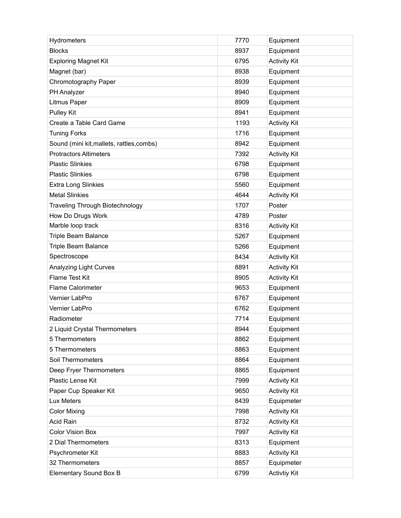| Hydrometers                               | 7770 | Equipment           |
|-------------------------------------------|------|---------------------|
| <b>Blocks</b>                             | 8937 | Equipment           |
| <b>Exploring Magnet Kit</b>               | 6795 | <b>Activity Kit</b> |
| Magnet (bar)                              | 8938 | Equipment           |
| Chromotography Paper                      | 8939 | Equipment           |
| PH Analyzer                               | 8940 | Equipment           |
| Litmus Paper                              | 8909 | Equipment           |
| <b>Pulley Kit</b>                         | 8941 | Equipment           |
| Create a Table Card Game                  | 1193 | <b>Activity Kit</b> |
| <b>Tuning Forks</b>                       | 1716 | Equipment           |
| Sound (mini kit, mallets, rattles, combs) | 8942 | Equipment           |
| <b>Protractors Altimeters</b>             | 7392 | <b>Activity Kit</b> |
| <b>Plastic Slinkies</b>                   | 6798 | Equipment           |
| <b>Plastic Slinkies</b>                   | 6798 | Equipment           |
| <b>Extra Long Slinkies</b>                | 5560 | Equipment           |
| <b>Metal Slinkies</b>                     | 4644 | <b>Activity Kit</b> |
| <b>Traveling Through Biotechnology</b>    | 1707 | Poster              |
| How Do Drugs Work                         | 4789 | Poster              |
| Marble loop track                         | 8316 | <b>Activity Kit</b> |
| <b>Triple Beam Balance</b>                | 5267 | Equipment           |
| Triple Beam Balance                       | 5266 | Equipment           |
| Spectroscope                              | 8434 | <b>Activity Kit</b> |
| <b>Analyzing Light Curves</b>             | 8891 | <b>Activity Kit</b> |
| <b>Flame Test Kit</b>                     | 8905 | <b>Activity Kit</b> |
| <b>Flame Calorimeter</b>                  | 9653 | Equipment           |
| Vernier LabPro                            | 6767 | Equipment           |
| Vernier LabPro                            | 6762 | Equipment           |
| Radiometer                                | 7714 | Equipment           |
| 2 Liquid Crystal Thermometers             | 8944 | Equipment           |
| 5 Thermometers                            | 8862 | Equipment           |
| 5 Thermometers                            | 8863 | Equipment           |
| Soil Thermometers                         | 8864 | Equipment           |
| Deep Fryer Thermometers                   | 8865 | Equipment           |
| Plastic Lense Kit                         | 7999 | <b>Activity Kit</b> |
| Paper Cup Speaker Kit                     | 9650 | <b>Activity Kit</b> |
| Lux Meters                                | 8439 | Equipmeter          |
| <b>Color Mixing</b>                       | 7998 | <b>Activity Kit</b> |
| Acid Rain                                 | 8732 | <b>Activity Kit</b> |
| <b>Color Vision Box</b>                   | 7997 | <b>Activity Kit</b> |
| 2 Dial Thermometers                       | 8313 | Equipment           |
| Psychrometer Kit                          | 8883 | <b>Activity Kit</b> |
| 32 Thermometers                           | 8857 | Equipmeter          |
| Elementary Sound Box B                    | 6799 | <b>Activtiy Kit</b> |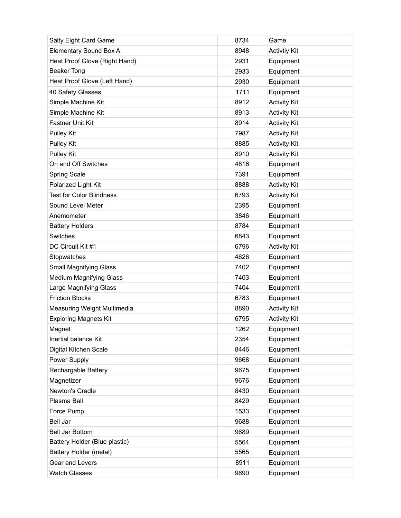| Salty Eight Card Game           | 8734 | Game                |
|---------------------------------|------|---------------------|
| Elementary Sound Box A          | 8948 | <b>Activtiy Kit</b> |
| Heat Proof Glove (Right Hand)   | 2931 | Equipment           |
| <b>Beaker Tong</b>              | 2933 | Equipment           |
| Heat Proof Glove (Left Hand)    | 2930 | Equipment           |
| 40 Safety Glasses               | 1711 | Equipment           |
| Simple Machine Kit              | 8912 | <b>Activity Kit</b> |
| Simple Machine Kit              | 8913 | <b>Activity Kit</b> |
| <b>Fastner Unit Kit</b>         | 8914 | <b>Activity Kit</b> |
| <b>Pulley Kit</b>               | 7987 | <b>Activity Kit</b> |
| <b>Pulley Kit</b>               | 8885 | <b>Activity Kit</b> |
| <b>Pulley Kit</b>               | 8910 | <b>Activity Kit</b> |
| On and Off Switches             | 4816 | Equipment           |
| Spring Scale                    | 7391 | Equipment           |
| Polarized Light Kit             | 8888 | <b>Activity Kit</b> |
| <b>Test for Color Blindness</b> | 6793 | <b>Activity Kit</b> |
| Sound Level Meter               | 2395 | Equipment           |
| Anemometer                      | 3846 | Equipment           |
| <b>Battery Holders</b>          | 8784 | Equipment           |
| Switches                        | 6843 | Equipment           |
| DC Circuit Kit #1               | 6796 | <b>Activity Kit</b> |
| Stopwatches                     | 4626 | Equipment           |
| <b>Small Magnifying Glass</b>   | 7402 | Equipment           |
| <b>Medium Magnifying Glass</b>  | 7403 | Equipment           |
| Large Magnifying Glass          | 7404 | Equipment           |
| <b>Friction Blocks</b>          | 6783 | Equipment           |
| Measuring Weight Multimedia     | 8890 | <b>Activity Kit</b> |
| <b>Exploring Magnets Kit</b>    | 6795 | <b>Activity Kit</b> |
| Magnet                          | 1262 | Equipment           |
| Inertial balance Kit            | 2354 | Equipment           |
| Digital Kitchen Scale           | 8446 | Equipment           |
| Power Supply                    | 9668 | Equipment           |
| Rechargable Battery             | 9675 | Equipment           |
| Magnetizer                      | 9676 | Equipment           |
| Newton's Cradle                 | 8430 | Equipment           |
| Plasma Ball                     | 8429 | Equipment           |
| Force Pump                      | 1533 | Equipment           |
| Bell Jar                        | 9688 | Equipment           |
| <b>Bell Jar Bottom</b>          | 9689 | Equipment           |
| Battery Holder (Blue plastic)   | 5564 | Equipment           |
| Battery Holder (metal)          | 5565 | Equipment           |
| Gear and Levers                 | 8911 | Equipment           |
| <b>Watch Glasses</b>            | 9690 | Equipment           |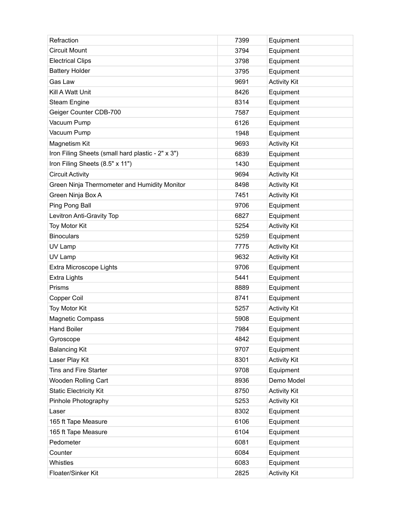| Refraction                                        | 7399 | Equipment           |
|---------------------------------------------------|------|---------------------|
| <b>Circuit Mount</b>                              | 3794 | Equipment           |
| <b>Electrical Clips</b>                           | 3798 | Equipment           |
| <b>Battery Holder</b>                             | 3795 | Equipment           |
| Gas Law                                           | 9691 | <b>Activity Kit</b> |
| Kill A Watt Unit                                  | 8426 | Equipment           |
| <b>Steam Engine</b>                               | 8314 | Equipment           |
| Geiger Counter CDB-700                            | 7587 | Equipment           |
| Vacuum Pump                                       | 6126 | Equipment           |
| Vacuum Pump                                       | 1948 | Equipment           |
| Magnetism Kit                                     | 9693 | <b>Activity Kit</b> |
| Iron Filing Sheets (small hard plastic - 2" x 3") | 6839 | Equipment           |
| Iron Filing Sheets (8.5" x 11")                   | 1430 | Equipment           |
| <b>Circuit Activity</b>                           | 9694 | <b>Activity Kit</b> |
| Green Ninja Thermometer and Humidity Monitor      | 8498 | <b>Activity Kit</b> |
| Green Ninja Box A                                 | 7451 | <b>Activity Kit</b> |
| Ping Pong Ball                                    | 9706 | Equipment           |
| Levitron Anti-Gravity Top                         | 6827 | Equipment           |
| <b>Toy Motor Kit</b>                              | 5254 | <b>Activity Kit</b> |
| <b>Binoculars</b>                                 | 5259 | Equipment           |
| UV Lamp                                           | 7775 | <b>Activity Kit</b> |
| UV Lamp                                           | 9632 | <b>Activity Kit</b> |
| Extra Microscope Lights                           | 9706 | Equipment           |
| <b>Extra Lights</b>                               | 5441 | Equipment           |
| Prisms                                            | 8889 | Equipment           |
| Copper Coil                                       | 8741 | Equipment           |
| <b>Toy Motor Kit</b>                              | 5257 | <b>Activity Kit</b> |
| <b>Magnetic Compass</b>                           | 5908 | Equipment           |
| <b>Hand Boiler</b>                                | 7984 | Equipment           |
| Gyroscope                                         | 4842 | Equipment           |
| <b>Balancing Kit</b>                              | 9707 | Equipment           |
| Laser Play Kit                                    | 8301 | <b>Activity Kit</b> |
| Tins and Fire Starter                             | 9708 | Equipment           |
| Wooden Rolling Cart                               | 8936 | Demo Model          |
| <b>Static Electricity Kit</b>                     | 8750 | <b>Activity Kit</b> |
| Pinhole Photography                               | 5253 | <b>Activity Kit</b> |
| Laser                                             | 8302 | Equipment           |
| 165 ft Tape Measure                               | 6106 | Equipment           |
| 165 ft Tape Measure                               | 6104 | Equipment           |
| Pedometer                                         | 6081 | Equipment           |
| Counter                                           | 6084 | Equipment           |
| Whistles                                          | 6083 | Equipment           |
| Floater/Sinker Kit                                | 2825 | <b>Activity Kit</b> |